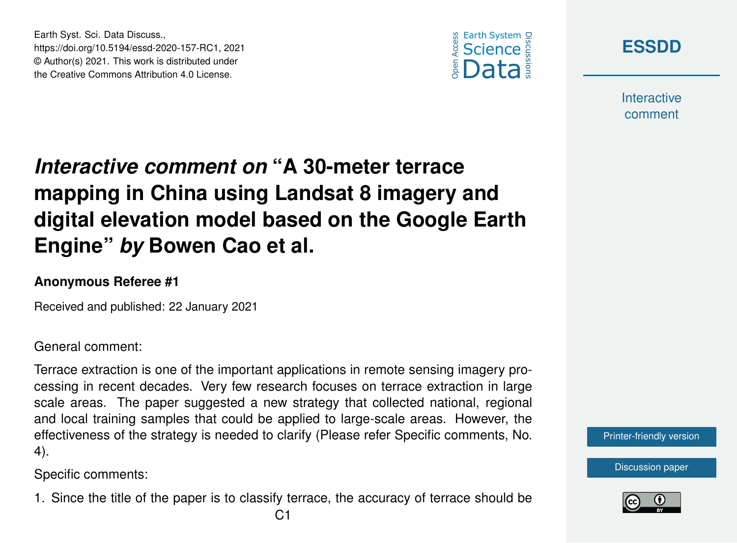





**Interactive** comment

## *Interactive comment on* **"A 30-meter terrace mapping in China using Landsat 8 imagery and digital elevation model based on the Google Earth Engine"** *by* **Bowen Cao et al.**

## **Anonymous Referee #1**

Received and published: 22 January 2021

General comment:

Terrace extraction is one of the important applications in remote sensing imagery processing in recent decades. Very few research focuses on terrace extraction in large scale areas. The paper suggested a new strategy that collected national, regional and local training samples that could be applied to large-scale areas. However, the effectiveness of the strategy is needed to clarify (Please refer Specific comments, No. 4).

Specific comments:

1. Since the title of the paper is to classify terrace, the accuracy of terrace should be



[Discussion paper](https://essd.copernicus.org/preprints/essd-2020-157)